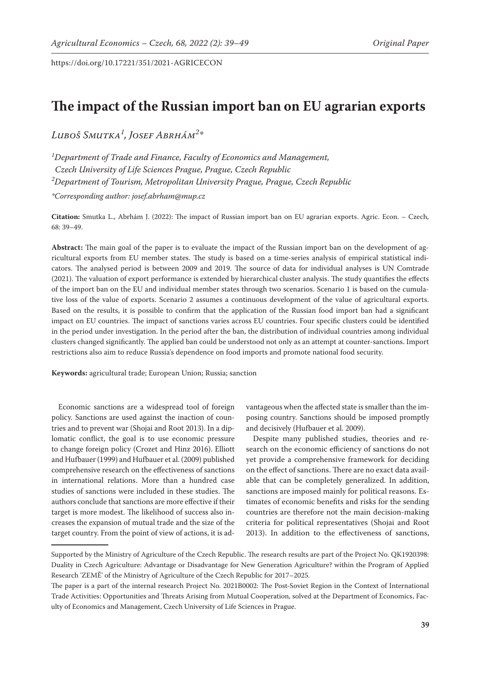# **The impact of the Russian import ban on EU agrarian exports**

*Luboš Smutka1 , Josef Abrhám2 \**

*1 Department of Trade and Finance, Faculty of Economics and Management, Czech University of Life Sciences Prague, Prague, Czech Republic 2 Department of Tourism, Metropolitan University Prague, Prague, Czech Republic*

*\*Corresponding author: josef.abrham@mup.cz*

**Citation:** Smutka L., Abrhám J. (2022): The impact of Russian import ban on EU agrarian exports. Agric. Econ. – Czech, 68: 39–49.

**Abstract:** The main goal of the paper is to evaluate the impact of the Russian import ban on the development of agricultural exports from EU member states. The study is based on a time-series analysis of empirical statistical indicators. The analysed period is between 2009 and 2019. The source of data for individual analyses is UN Comtrade (2021). The valuation of export performance is extended by hierarchical cluster analysis. The study quantifies the effects of the import ban on the EU and individual member states through two scenarios. Scenario 1 is based on the cumulative loss of the value of exports. Scenario 2 assumes a continuous development of the value of agricultural exports. Based on the results, it is possible to confirm that the application of the Russian food import ban had a significant impact on EU countries. The impact of sanctions varies across EU countries. Four specific clusters could be identified in the period under investigation. In the period after the ban, the distribution of individual countries among individual clusters changed significantly. The applied ban could be understood not only as an attempt at counter-sanctions. Import restrictions also aim to reduce Russia's dependence on food imports and promote national food security.

**Keywords:** agricultural trade; European Union; Russia; sanction

Economic sanctions are a widespread tool of foreign policy. Sanctions are used against the inaction of countries and to prevent war (Shojai and Root 2013). In a diplomatic conflict, the goal is to use economic pressure to change foreign policy (Crozet and Hinz 2016). Elliott and Hufbauer (1999) and Hufbauer et al. (2009) published comprehensive research on the effectiveness of sanctions in international relations. More than a hundred case studies of sanctions were included in these studies. The authors conclude that sanctions are more effective if their target is more modest. The likelihood of success also increases the expansion of mutual trade and the size of the target country. From the point of view of actions, it is advantageous when the affected state is smaller than the imposing country. Sanctions should be imposed promptly and decisively (Hufbauer et al. 2009).

Despite many published studies, theories and research on the economic efficiency of sanctions do not yet provide a comprehensive framework for deciding on the effect of sanctions. There are no exact data available that can be completely generalized. In addition, sanctions are imposed mainly for political reasons. Estimates of economic benefits and risks for the sending countries are therefore not the main decision-making criteria for political representatives (Shojai and Root 2013). In addition to the effectiveness of sanctions,

Supported by the Ministry of Agriculture of the Czech Republic. The research results are part of the Project No. QK1920398: Duality in Czech Agriculture: Advantage or Disadvantage for New Generation Agriculture? within the Program of Applied Research 'ZEMĚ' of the Ministry of Agriculture of the Czech Republic for 2017–2025.

The paper is a part of the internal research Project No. 2021B0002: The Post-Soviet Region in the Context of International Trade Activities: Opportunities and Threats Arising from Mutual Cooperation, solved at the Department of Economics, Faculty of Economics and Management, Czech University of Life Sciences in Prague.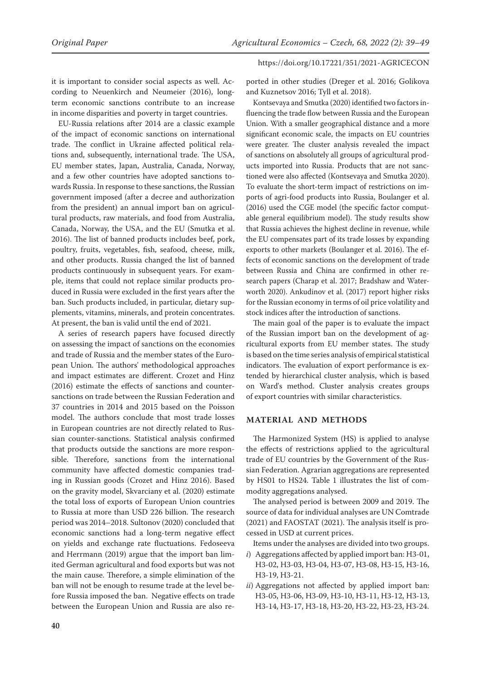it is important to consider social aspects as well. According to Neuenkirch and Neumeier (2016), longterm economic sanctions contribute to an increase in income disparities and poverty in target countries.

EU-Russia relations after 2014 are a classic example of the impact of economic sanctions on international trade. The conflict in Ukraine affected political relations and, subsequently, international trade. The USA, EU member states, Japan, Australia, Canada, Norway, and a few other countries have adopted sanctions towards Russia. In response to these sanctions, the Russian government imposed (after a decree and authorization from the president) an annual import ban on agricultural products, raw materials, and food from Australia, Canada, Norway, the USA, and the EU (Smutka et al. 2016). The list of banned products includes beef, pork, poultry, fruits, vegetables, fish, seafood, cheese, milk, and other products. Russia changed the list of banned products continuously in subsequent years. For example, items that could not replace similar products produced in Russia were excluded in the first years after the ban. Such products included, in particular, dietary supplements, vitamins, minerals, and protein concentrates. At present, the ban is valid until the end of 2021.

A series of research papers have focused directly on assessing the impact of sanctions on the economies and trade of Russia and the member states of the European Union. The authors' methodological approaches and impact estimates are different. Crozet and Hinz (2016) estimate the effects of sanctions and countersanctions on trade between the Russian Federation and 37 countries in 2014 and 2015 based on the Poisson model. The authors conclude that most trade losses in European countries are not directly related to Russian counter-sanctions. Statistical analysis confirmed that products outside the sanctions are more responsible. Therefore, sanctions from the international community have affected domestic companies trading in Russian goods (Crozet and Hinz 2016). Based on the gravity model, Skvarciany et al. (2020) estimate the total loss of exports of European Union countries to Russia at more than USD 226 billion. The research period was 2014–2018. Sultonov (2020) concluded that economic sanctions had a long-term negative effect on yields and exchange rate fluctuations. Fedoseeva and Herrmann (2019) argue that the import ban limited German agricultural and food exports but was not the main cause. Therefore, a simple elimination of the ban will not be enough to resume trade at the level before Russia imposed the ban. Negative effects on trade between the European Union and Russia are also re-

ported in other studies (Dreger et al. 2016; Golikova and Kuznetsov 2016; Tyll et al. 2018).

Kontsevaya and Smutka (2020) identified two factors influencing the trade flow between Russia and the European Union. With a smaller geographical distance and a more significant economic scale, the impacts on EU countries were greater. The cluster analysis revealed the impact of sanctions on absolutely all groups of agricultural products imported into Russia. Products that are not sanctioned were also affected (Kontsevaya and Smutka 2020). To evaluate the short-term impact of restrictions on imports of agri-food products into Russia, Boulanger et al. (2016) used the CGE model (the specific factor computable general equilibrium model). The study results show that Russia achieves the highest decline in revenue, while the EU compensates part of its trade losses by expanding exports to other markets (Boulanger et al. 2016). The effects of economic sanctions on the development of trade between Russia and China are confirmed in other research papers (Charap et al. 2017; Bradshaw and Waterworth 2020). Ankudinov et al. (2017) report higher risks for the Russian economy in terms of oil price volatility and stock indices after the introduction of sanctions.

The main goal of the paper is to evaluate the impact of the Russian import ban on the development of agricultural exports from EU member states. The study is based on the time series analysis of empirical statistical indicators. The evaluation of export performance is extended by hierarchical cluster analysis, which is based on Ward's method. Cluster analysis creates groups of export countries with similar characteristics.

### **MATERIAL AND METHODS**

The Harmonized System (HS) is applied to analyse the effects of restrictions applied to the agricultural trade of EU countries by the Government of the Russian Federation. Agrarian aggregations are represented by HS01 to HS24. Table 1 illustrates the list of commodity aggregations analysed.

The analysed period is between 2009 and 2019. The source of data for individual analyses are UN Comtrade (2021) and FAOSTAT (2021). The analysis itself is processed in USD at current prices.

Items under the analyses are divided into two groups.

- *i*) Aggregations affected by applied import ban: H3-01, H3-02, H3-03, H3-04, H3-07, H3-08, H3-15, H3-16, H3-19, H3-21.
- *ii*) Aggregations not affected by applied import ban: H3-05, H3-06, H3-09, H3-10, H3-11, H3-12, H3-13, H3-14, H3-17, H3-18, H3-20, H3-22, H3-23, H3-24.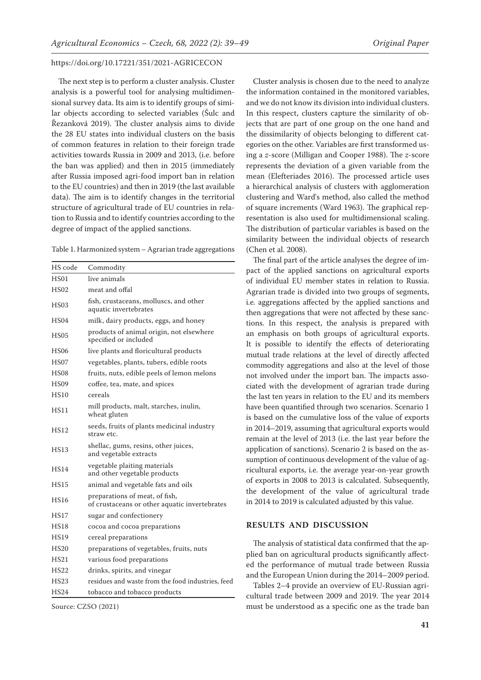The next step is to perform a cluster analysis. Cluster analysis is a powerful tool for analysing multidimensional survey data. Its aim is to identify groups of similar objects according to selected variables (Šulc and Řezanková 2019). The cluster analysis aims to divide the 28 EU states into individual clusters on the basis of common features in relation to their foreign trade activities towards Russia in 2009 and 2013, (i.e. before the ban was applied) and then in 2015 (immediately after Russia imposed agri-food import ban in relation to the EU countries) and then in 2019 (the last available data). The aim is to identify changes in the territorial structure of agricultural trade of EU countries in relation to Russia and to identify countries according to the degree of impact of the applied sanctions.

Table 1. Harmonized system – Agrarian trade aggregations

| HS code          | Commodity                                                                       |
|------------------|---------------------------------------------------------------------------------|
| <b>HS01</b>      | live animals                                                                    |
| HS02             | meat and offal                                                                  |
| HS03             | fish, crustaceans, molluscs, and other<br>aquatic invertebrates                 |
| HS04             | milk, dairy products, eggs, and honey                                           |
| <b>HS05</b>      | products of animal origin, not elsewhere<br>specified or included               |
| HS06             | live plants and floricultural products                                          |
| HS07             | vegetables, plants, tubers, edible roots                                        |
| H <sub>SO8</sub> | fruits, nuts, edible peels of lemon melons                                      |
| HS09             | coffee, tea, mate, and spices                                                   |
| <b>HS10</b>      | cereals                                                                         |
| <b>HS11</b>      | mill products, malt, starches, inulin,<br>wheat gluten                          |
| <b>HS12</b>      | seeds, fruits of plants medicinal industry<br>straw etc.                        |
| <b>HS13</b>      | shellac, gums, resins, other juices,<br>and vegetable extracts                  |
| <b>HS14</b>      | vegetable plaiting materials<br>and other vegetable products                    |
| <b>HS15</b>      | animal and vegetable fats and oils                                              |
| HS16             | preparations of meat, of fish,<br>of crustaceans or other aquatic invertebrates |
| HS17             | sugar and confectionery                                                         |
| HS18             | cocoa and cocoa preparations                                                    |
| <b>HS19</b>      | cereal preparations                                                             |
| <b>HS20</b>      | preparations of vegetables, fruits, nuts                                        |
| HS21             | various food preparations                                                       |
| <b>HS22</b>      | drinks, spirits, and vinegar                                                    |
| <b>HS23</b>      | residues and waste from the food industries, feed                               |
| <b>HS24</b>      | tobacco and tobacco products                                                    |

Source: CZSO (2021)

Cluster analysis is chosen due to the need to analyze the information contained in the monitored variables, and we do not know its division into individual clusters. In this respect, clusters capture the similarity of objects that are part of one group on the one hand and the dissimilarity of objects belonging to different categories on the other. Variables are first transformed using a *z*-score (Milligan and Cooper 1988). The *z*-score represents the deviation of a given variable from the mean (Elefteriades 2016). The processed article uses a hierarchical analysis of clusters with agglomeration clustering and Ward's method, also called the method of square increments (Ward 1963). The graphical representation is also used for multidimensional scaling. The distribution of particular variables is based on the similarity between the individual objects of research (Chen et al. 2008).

The final part of the article analyses the degree of impact of the applied sanctions on agricultural exports of individual EU member states in relation to Russia. Agrarian trade is divided into two groups of segments, i.e*.* aggregations affected by the applied sanctions and then aggregations that were not affected by these sanctions. In this respect, the analysis is prepared with an emphasis on both groups of agricultural exports. It is possible to identify the effects of deteriorating mutual trade relations at the level of directly affected commodity aggregations and also at the level of those not involved under the import ban. The impacts associated with the development of agrarian trade during the last ten years in relation to the EU and its members have been quantified through two scenarios. Scenario 1 is based on the cumulative loss of the value of exports in 2014–2019, assuming that agricultural exports would remain at the level of 2013 (i.e. the last year before the application of sanctions). Scenario 2 is based on the assumption of continuous development of the value of agricultural exports, i.e. the average year-on-year growth of exports in 2008 to 2013 is calculated. Subsequently, the development of the value of agricultural trade in 2014 to 2019 is calculated adjusted by this value.

# **RESULTS AND DISCUSSION**

The analysis of statistical data confirmed that the applied ban on agricultural products significantly affected the performance of mutual trade between Russia and the European Union during the 2014–2009 period.

Tables 2–4 provide an overview of EU-Russian agricultural trade between 2009 and 2019. The year 2014 must be understood as a specific one as the trade ban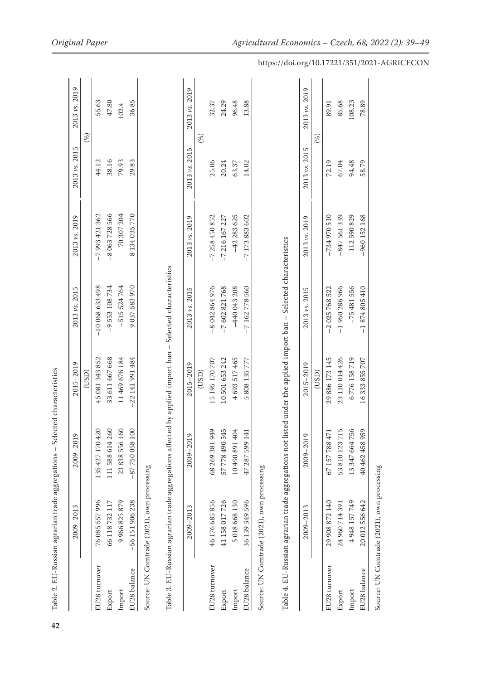| )<br>)<br>)<br>)<br>)<br>שנים בי <b>נו</b><br>í |
|-------------------------------------------------|
|                                                 |
| Table 2. EU-Russian agrarian trade aggregations |
|                                                 |
|                                                 |
| ١                                               |
|                                                 |
|                                                 |
|                                                 |
|                                                 |
|                                                 |
|                                                 |
|                                                 |
|                                                 |
|                                                 |
| 42                                              |

|               | $2009 - 2013$                              | σ<br>2009-201   | 2015-2019         | 2013 vs. 2015  | 2013 vs. 2019 | 2013 vs. 2015 | 2013 vs. 2019 |
|---------------|--------------------------------------------|-----------------|-------------------|----------------|---------------|---------------|---------------|
|               |                                            |                 | (USD)             |                |               | $(\%)$        |               |
| EU28 turnover | 76 085 557 996                             | 135 427 170 420 | 45081343852       | $-10068633498$ | $-7993421362$ | 44.12         | 55.63         |
| Export        | 66 118 732 117                             | 111 588 614 260 | 33611667668       | $-9553108734$  | $-8063728566$ | 38.16         | 47.80         |
| Import        | 9 966 825 879                              | ଌ<br>23838556   | 11 469 676 184    | $-515524764$   | 70 307 204    | 79.93         | .02.4         |
| EU28 balance  | $-56$ 151 906 238                          | $-87750058100$  | $-22$ 141 991 484 | 9037583970     | 8134035770    | 29.83         | 36.85         |
|               | Source: UN Comtrade (2021), own processing |                 |                   |                |               |               |               |

Table 3. EU-Russian agrarian trade aggregations affected by applied import ban - Selected characteristics Table 3. EU-Russian agrarian trade aggregations affected by applied import ban – Selected characteristics

|               | 2009-2013                                  | σ<br>2009-201     | 2015-2019   | 2013 vs. 2015 | 2013 vs. 2019 | 2013 vs. 2015 | 2013 vs. 2019 |
|---------------|--------------------------------------------|-------------------|-------------|---------------|---------------|---------------|---------------|
|               |                                            |                   | (USD)       |               |               |               |               |
| .U28 turnover | 46 176 685 856                             | 949<br>68 269 381 | 15195170707 | $-8042864976$ | $-7258450852$ | 25.06         | 32.37         |
| Export        | 41 158 017 726                             | 57 778 490 545    | 10501653242 | -7602821768   | $-7216167227$ | 20.24         | 24.29         |
| mport         | 5018668130                                 | 104 168 065 01    | 4693517465  | $-440043208$  | $-42283625$   | 63.37         | 96.48         |
| U28 balance   | 36 139 349 596                             | 141<br>47 287 599 | 5808135777  | $-7162778560$ | $-7173883602$ | 14.02         | 13.88         |
|               | Source: UN Comtrade (2021), own processing |                   |             |               |               |               |               |

Table 4. EU-Russian agrarian trade aggregations not listed under the applied import ban - Selected characteristics Table 4. EU-Russian agrarian trade aggregations not listed under the applied import ban – Selected characteristics

|               | $2009 - 2013$     | σ<br>2009-201          | 2015-2019      | 2013 vs. 2015 | 2013 vs. 2019  | 2013 vs. 2015 | 2013 vs. 2019 |
|---------------|-------------------|------------------------|----------------|---------------|----------------|---------------|---------------|
|               |                   |                        | (USD)          |               |                | $(\%)$        |               |
| EU28 turnover | 29 908 872 140    | 57<br>67 157 7884      | 29 886 173 145 | $-2025768522$ | $-734970510$   | 72.19         | 89.91         |
| Export        | 24 960 714 391    | 715<br>7<br>53 810 123 | 23110014426    | $-1950286966$ | $-847561339$   | 67.04         | 85.68         |
| mport         | 4 948 157 749     | 756<br>13347664        | 6776158719     | $-75481556$   | 112590829      | 94.48         | 108.23        |
| U28 balance   | 20 012 556 642    | 959<br>40 462 458 9    | 16333855707    | $-1874805410$ | $-960$ 152 168 | 58.79         | 78.89         |
|               | シュリス しょうしょう しょうしゃ |                        |                |               |                |               |               |

Source: UN Comtrade (2021), own processing Source: UN Comtrade (2021), own processing

 $\overline{1}$ 

https://doi.org/10.17221/351/2021-AGRICECON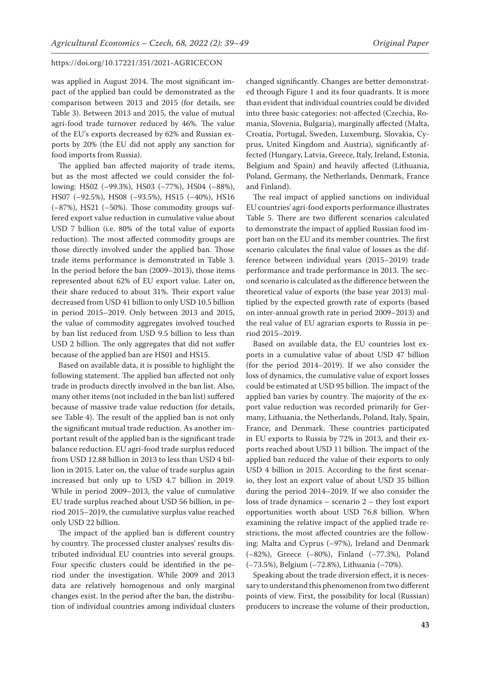was applied in August 2014. The most significant impact of the applied ban could be demonstrated as the comparison between 2013 and 2015 (for details, see Table 3). Between 2013 and 2015, the value of mutual agri-food trade turnover reduced by 46%. The value of the EU's exports decreased by 62% and Russian exports by 20% (the EU did not apply any sanction for food imports from Russia).

The applied ban affected majority of trade items, but as the most affected we could consider the following: HS02 (–99.3%), HS03 (–77%), HS04 (–88%), HS07 (–92.5%), HS08 (–93.5%), HS15 (–40%), HS16 (–87%), HS21 (–50%). Those commodity groups suffered export value reduction in cumulative value about USD 7 billion (i.e. 80% of the total value of exports reduction). The most affected commodity groups are those directly involved under the applied ban. Those trade items performance is demonstrated in Table 3. In the period before the ban (2009–2013), those items represented about 62% of EU export value. Later on, their share reduced to about 31%. Their export value decreased from USD 41 billion to only USD 10.5 billion in period 2015–2019. Only between 2013 and 2015, the value of commodity aggregates involved touched by ban list reduced from USD 9.5 billion to less than USD 2 billion. The only aggregates that did not suffer because of the applied ban are HS01 and HS15.

Based on available data, it is possible to highlight the following statement. The applied ban affected not only trade in products directly involved in the ban list. Also, many other items (not included in the ban list) suffered because of massive trade value reduction (for details, see Table 4). The result of the applied ban is not only the significant mutual trade reduction. As another important result of the applied ban is the significant trade balance reduction. EU agri-food trade surplus reduced from USD 12.88 billion in 2013 to less than USD 4 billion in 2015. Later on, the value of trade surplus again increased but only up to USD 4.7 billion in 2019. While in period 2009–2013, the value of cumulative EU trade surplus reached about USD 56 billion, in period 2015–2019, the cumulative surplus value reached only USD 22 billion.

The impact of the applied ban is different country by country. The processed cluster analyses' results distributed individual EU countries into several groups. Four specific clusters could be identified in the period under the investigation. While 2009 and 2013 data are relatively homogenous and only marginal changes exist. In the period after the ban, the distribution of individual countries among individual clusters changed significantly. Changes are better demonstrated through Figure 1 and its four quadrants. It is more than evident that individual countries could be divided into three basic categories: not-affected (Czechia, Romania, Slovenia, Bulgaria), marginally affected (Malta, Croatia, Portugal, Sweden, Luxemburg, Slovakia, Cyprus, United Kingdom and Austria), significantly affected (Hungary, Latvia, Greece, Italy, Ireland, Estonia, Belgium and Spain) and heavily affected (Lithuania, Poland, Germany, the Netherlands, Denmark, France and Finland).

The real impact of applied sanctions on individual EU countries' agri-food exports performance illustrates Table 5. There are two different scenarios calculated to demonstrate the impact of applied Russian food import ban on the EU and its member countries. The first scenario calculates the final value of losses as the difference between individual years (2015–2019) trade performance and trade performance in 2013. The second scenario is calculated as the difference between the theoretical value of exports (the base year 2013) multiplied by the expected growth rate of exports (based on inter-annual growth rate in period 2009–2013) and the real value of EU agrarian exports to Russia in period 2015–2019.

Based on available data, the EU countries lost exports in a cumulative value of about USD 47 billion (for the period 2014–2019). If we also consider the loss of dynamics, the cumulative value of export losses could be estimated at USD 95 billion. The impact of the applied ban varies by country. The majority of the export value reduction was recorded primarily for Germany, Lithuania, the Netherlands, Poland, Italy, Spain, France, and Denmark. These countries participated in EU exports to Russia by 72% in 2013, and their exports reached about USD 11 billion. The impact of the applied ban reduced the value of their exports to only USD 4 billion in 2015. According to the first scenario, they lost an export value of about USD 35 billion during the period 2014–2019. If we also consider the loss of trade dynamics – scenario 2 – they lost export opportunities worth about USD 76.8 billion. When examining the relative impact of the applied trade restrictions, the most affected countries are the following: Malta and Cyprus (–97%), Ireland and Denmark (–82%), Greece (–80%), Finland (–77.3%), Poland (–73.5%), Belgium (–72.8%), Lithuania (–70%).

Speaking about the trade diversion effect, it is necessary to understand this phenomenon from two different points of view. First, the possibility for local (Russian) producers to increase the volume of their production,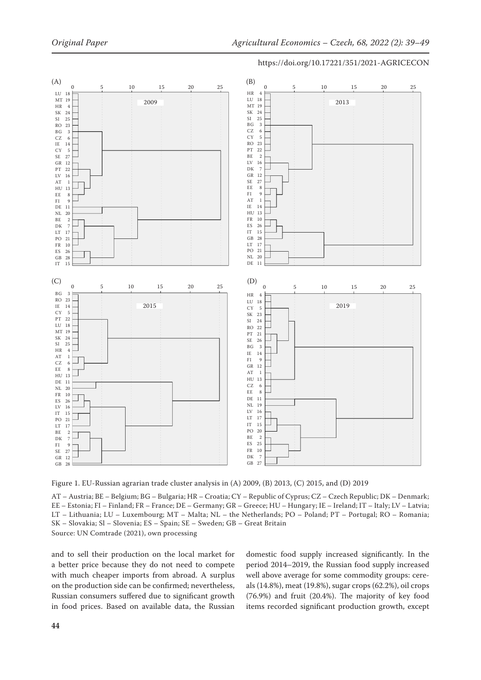

Figure 1. EU-Russian agrarian trade cluster analysis in (A) 2009, (B) 2013, (C) 2015, and (D) 2019

AT – Austria; BE – Belgium; BG – Bulgaria; HR – Croatia; CY – Republic of Cyprus; CZ – Czech Republic; DK – Denmark; EE – Estonia; FI – Finland; FR – France; DE – Germany; GR – Greece; HU – Hungary; IE – Ireland; IT – Italy; LV – Latvia; LT – Lithuania; LU – Luxembourg; MT – Malta; NL – the Netherlands; PO – Poland; PT – Portugal; RO – Romania; SK – Slovakia; Sl – Slovenia; ES – Spain; SE – Sweden; GB – Great Britain Source: UN Comtrade (2021), own processing

and to sell their production on the local market for a better price because they do not need to compete with much cheaper imports from abroad. A surplus on the production side can be confirmed; nevertheless, Russian consumers suffered due to significant growth in food prices. Based on available data, the Russian domestic food supply increased significantly. In the period 2014–2019, the Russian food supply increased well above average for some commodity groups: cereals (14.8%), meat (19.8%), sugar crops (62.2%), oil crops (76.9%) and fruit (20.4%). The majority of key food items recorded significant production growth, except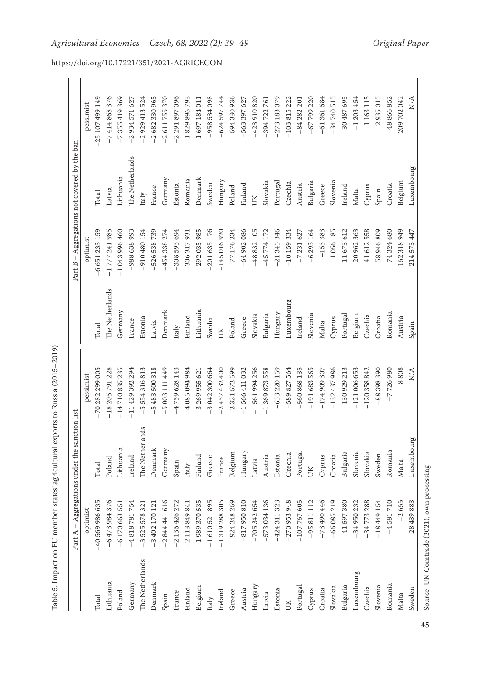| I<br>S                                                                                       |
|----------------------------------------------------------------------------------------------|
| I                                                                                            |
| C                                                                                            |
| I                                                                                            |
|                                                                                              |
| j<br>j<br>I                                                                                  |
| ;<br>;<br>l                                                                                  |
| i<br>L<br>$\frac{1}{2}$<br>ł                                                                 |
|                                                                                              |
| <b>Windows 1989</b>                                                                          |
|                                                                                              |
| i<br>J<br>١                                                                                  |
|                                                                                              |
| Ell mondon atotar                                                                            |
|                                                                                              |
|                                                                                              |
|                                                                                              |
| Ì,                                                                                           |
|                                                                                              |
| $\frac{1}{2}$<br>l                                                                           |
|                                                                                              |
| :<br>המורח הי<br>4<br>֖֖֖֖֧ׅ֖ׅ֖֖֖֧ׅ֖֧ׅ֖֧֖֧֚֚֚֚֚֚֚֚֚֚֚֚֚֚֚֚֚֚֚֚֚֚֚֚֚֚֚֚֚֚֚֚֡֝֝֝֬֝֬֝<br>l<br>j |
| I<br>١                                                                                       |
|                                                                                              |
| į                                                                                            |

|                 | $\mathsf I$<br>≺<br>Part. | Aggregations under the sanction list |                              |                 | $\,$ $\,$<br>Part B          | Aggregations not covered by the ban |                           |
|-----------------|---------------------------|--------------------------------------|------------------------------|-----------------|------------------------------|-------------------------------------|---------------------------|
|                 | optimist                  |                                      | pessimist                    |                 | optimist                     |                                     | pessimist                 |
| Total           | -40 569 986 635           | Total                                | 282 299 005<br>$-70$         | Total           | 651 233 159<br>$\frac{6}{1}$ | Total                               | 149<br>25 107 499         |
| Lithuania       | $-6473984376$             | Poland                               | $-18205791228$               | The Netherlands | $-1777241985$                | Latvia                              | $-7414868376$             |
| Poland          | $-6170663551$             | Lithuania                            | $-14710835235$               | Germany         | $-1043996460$                | Lithuania                           | $-7355419369$             |
| Germany         | $-4818781754$             | Ireland                              | $-11429392294$               | France          | -988 638 993                 | The Netherlands                     | $-2934571627$             |
| The Netherlands | $-3525578321$             | The Netherlands                      | 554 316 813<br>$\frac{5}{1}$ | Estonia         | $-910480154$                 | Italy                               | $-2929413524$             |
| Denmark         | $-3402170121$             | Denmark                              | $-5483500318$                | Latvia          | $-526538739$                 | France                              | $-2682330965$             |
| Spain           | $-2844441616$             | Germany                              | -5 003 111 449               | Denmark         | $-454338274$                 | Germany                             | $-2611755370$             |
| France          | $-2136426272$             | Spain                                | $-4759628143$                | Italy           | 308 593 694                  | Estonia                             | $-2291897096$             |
| Finland         | $-2113849841$             | Italy                                | 786 760 280 7                | Finland         | 306 317 931                  | Romania                             | $-1829896793$             |
| Belgium         | $-1989370535$             | Finland                              | $-326995621$                 | Lithuania       | $-292035985$                 | Denmark                             | $-1697184011$             |
| Italy           | $-1610521895$             | Greece                               | $-3042300664$                | Sweden          | $-201635176$                 | Sweden                              | $-958534098$              |
| Ireland         | $-1319288305$             | France                               | $-2457432400$                | UК              | $-145016920$                 | Hungary                             | $-624597744$              |
| Greece          | $-924248259$              | Belgium                              | 599<br>321 572<br>$-2$       | Poland          | $-77$ 176 234                | Poland                              | $-594330936$              |
| Austria         | $-817950810$              | Hungary                              | $-1566411032$                | Greece          | $-64902086$                  | Finland                             | $-563397627$              |
| Hungary         | $-705342654$              | Latvia                               | 256<br>$-1561994$            | Slovakia        | $-488832105$                 | UК                                  | $-423910820$              |
| Latvia          | $-573034136$              | Austria                              | 558<br>$-1369873$            | Bulgaria        | $-45774172$                  | Slovakia                            | $-394722761$              |
| Estonia         | $-424311323$              | Estonia                              | $-633220159$                 | Hungary         | $-21345346$                  | Portugal                            | $-273183079$              |
| UК              | $-270953948$              | Czechia                              | 564<br>$-589827$             | Luxembourg      | $-10159334$                  | Czechia                             | $-103815222$              |
| Portugal        | $-107767605$              | Portugal                             | 135<br>$-560868$             | Ireland         | $-7231627$                   | Austria                             | $-84282201$               |
| Cyprus          | $-95811112$               | ŬК                                   | 565<br>$-191683$             | Slovenia        | $-6293164$                   | Bulgaria                            | $-67799220$               |
| Croatia         | $-73490446$               | Cyprus                               | $-174909307$                 | Malta           | $-153383$                    | Greece                              | $-61361684$               |
| Slovakia        | $-66085219$               | Croatia                              | $-132437986$                 | Cyprus          | 1056185                      | Slovenia                            | $-34740515$               |
| Bulgaria        | $-41597380$               | Bulgaria                             | $-130929213$                 | Portugal        | 11673612                     | Ireland                             | $-30487695$               |
| Luxembourg      | $-34950232$               | Slovenia                             | $-121006653$                 | Belgium         | 20 962 363                   | Malta                               | $-1203454$                |
| Czechia         | $-34773288$               | Slovakia                             | $-120358842$                 | Czechia         | 41 612 558                   | Cyprus                              | 1163115                   |
| Slovenia        | $-18449154$               | Sweden                               | $-88398390$                  | Croatia         | 58 946 809                   | Spain                               | 2935015                   |
| Romania         | $-4581710$                | Romania                              | $-7726980$                   | Romania         | 74324680                     | Croatia                             | 48866852                  |
| Malta           | $-2655$                   | Malta                                | 808                          | Austria         | 162 318 949                  | Belgium                             | 209 702 042               |
| Sweden          | 28 439 883                | Luxembourg                           | $\frac{\mathbf{A}}{N}$       | Spain           | 214 573 447                  | Luxembourg                          | $\frac{\triangleleft}{N}$ |

**<sup>45</sup>**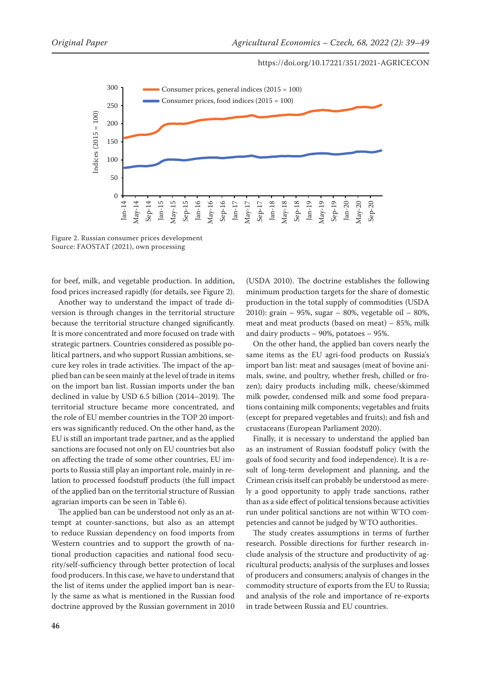

Figure 2. Russian consumer prices development Source: FAOSTAT (2021), own processing

for beef, milk, and vegetable production. In addition, food prices increased rapidly (for details, see Figure 2).

Another way to understand the impact of trade diversion is through changes in the territorial structure because the territorial structure changed significantly. It is more concentrated and more focused on trade with strategic partners. Countries considered as possible political partners, and who support Russian ambitions, secure key roles in trade activities. The impact of the applied ban can be seen mainly at the level of trade in items on the import ban list. Russian imports under the ban declined in value by USD 6.5 billion (2014–2019). The territorial structure became more concentrated, and the role of EU member countries in the TOP 20 importers was significantly reduced. On the other hand, as the EU is still an important trade partner, and as the applied sanctions are focused not only on EU countries but also on affecting the trade of some other countries, EU imports to Russia still play an important role, mainly in relation to processed foodstuff products (the full impact of the applied ban on the territorial structure of Russian agrarian imports can be seen in Table 6).

The applied ban can be understood not only as an attempt at counter-sanctions, but also as an attempt to reduce Russian dependency on food imports from Western countries and to support the growth of national production capacities and national food security/self-sufficiency through better protection of local food producers. In this case, we have to understand that the list of items under the applied import ban is nearly the same as what is mentioned in the Russian food doctrine approved by the Russian government in 2010

(USDA 2010). The doctrine establishes the following minimum production targets for the share of domestic production in the total supply of commodities (USDA 2010): grain – 95%, sugar – 80%, vegetable oil – 80%, meat and meat products (based on meat) – 85%, milk and dairy products – 90%, potatoes – 95%.

On the other hand, the applied ban covers nearly the same items as the EU agri-food products on Russia's import ban list: meat and sausages (meat of bovine animals, swine, and poultry, whether fresh, chilled or frozen); dairy products including milk, cheese/skimmed milk powder, condensed milk and some food preparations containing milk components; vegetables and fruits (except for prepared vegetables and fruits); and fish and crustaceans (European Parliament 2020).

Finally, it is necessary to understand the applied ban as an instrument of Russian foodstuff policy (with the goals of food security and food independence). It is a result of long-term development and planning, and the Crimean crisis itself can probably be understood as merely a good opportunity to apply trade sanctions, rather than as a side effect of political tensions because activities run under political sanctions are not within WTO competencies and cannot be judged by WTO authorities.

The study creates assumptions in terms of further research. Possible directions for further research include analysis of the structure and productivity of agricultural products; analysis of the surpluses and losses of producers and consumers; analysis of changes in the commodity structure of exports from the EU to Russia; and analysis of the role and importance of re-exports in trade between Russia and EU countries.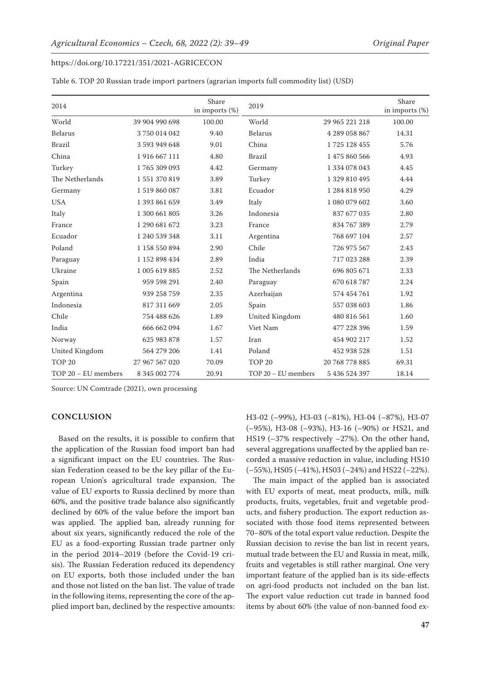|                   | Table 6. TOP 20 Russian trade import partners (agrarian imports full commodity list) (USD) |                            |                   |                |                            |
|-------------------|--------------------------------------------------------------------------------------------|----------------------------|-------------------|----------------|----------------------------|
| 2014              |                                                                                            | Share<br>in imports $(\%)$ | 2019              |                | Share<br>in imports $(\%)$ |
| World             | 39 904 990 698                                                                             | 100.00                     | World             | 29 965 221 218 | 100.00                     |
| <b>Belarus</b>    | 3750014042                                                                                 | 9.40                       | Belarus           | 4 289 058 867  | 14.31                      |
| <b>Brazil</b>     | 3 593 949 648                                                                              | 9.01                       | China             | 1725 128 455   | 5.76                       |
| China             | 1916 667 111                                                                               | 4.80                       | <b>Brazil</b>     | 1 475 860 566  | 4.93                       |
| Turkey            | 1765309093                                                                                 | 4.42                       | Germany           | 1 334 078 043  | 4.45                       |
| The Netherlands   | 1551370819                                                                                 | 3.89                       | Turkey            | 1 329 810 495  | 4.44                       |
| Germany           | 1519860087                                                                                 | 3.81                       | Ecuador           | 1 284 818 950  | 4.29                       |
| <b>USA</b>        | 1 393 861 659                                                                              | 3.49                       | Italy             | 1 080 079 602  | 3.60                       |
| Italy             | 1 300 661 805                                                                              | 3.26                       | Indonesia         | 837 677 035    | 2.80                       |
| France            | 1 290 681 672                                                                              | 3.23                       | France            | 834 767 389    | 2.79                       |
| Ecuador           | 1 240 539 348                                                                              | 3.11                       | Argentina         | 768 697 104    | 2.57                       |
| Poland            | 1 158 550 894                                                                              | 2.90                       | Chile             | 726 975 567    | 2.43                       |
| Paraguay          | 1 152 898 434                                                                              | 2.89                       | India             | 717 023 288    | 2.39                       |
| Ukraine           | 1 005 619 885                                                                              | 2.52                       | The Netherlands   | 696 805 671    | 2.33                       |
| Spain             | 959 598 291                                                                                | 2.40                       | Paraguay          | 670 618 787    | 2.24                       |
| Argentina         | 939 258 759                                                                                | 2.35                       | Azerbaijan        | 574 454 761    | 1.92                       |
| Indonesia         | 817 311 669                                                                                | 2.05                       | Spain             | 557 038 603    | 1.86                       |
| Chile             | 754 488 626                                                                                | 1.89                       | United Kingdom    | 480 816 561    | 1.60                       |
| India             | 666 662 094                                                                                | 1.67                       | Viet Nam          | 477 228 396    | 1.59                       |
| Norway            | 625 983 878                                                                                | 1.57                       | Iran              | 454 902 217    | 1.52                       |
| United Kingdom    | 564 279 206                                                                                | 1.41                       | Poland            | 452 938 528    | 1.51                       |
| TOP <sub>20</sub> | 27 967 567 020                                                                             | 70.09                      | TOP <sub>20</sub> | 20 768 778 885 | 69.31                      |

TOP 20 *−* EU members 8 345 002 774 20.91 TOP 20 *−* EU members 5 436 524 397 18.14

Source: UN Comtrade (2021), own processing

## **CONCLUSION**

Based on the results, it is possible to confirm that the application of the Russian food import ban had a significant impact on the EU countries. The Russian Federation ceased to be the key pillar of the European Union's agricultural trade expansion. The value of EU exports to Russia declined by more than 60%, and the positive trade balance also significantly declined by 60% of the value before the import ban was applied. The applied ban, already running for about six years, significantly reduced the role of the EU as a food-exporting Russian trade partner only in the period 2014–2019 (before the Covid-19 crisis). The Russian Federation reduced its dependency on EU exports, both those included under the ban and those not listed on the ban list. The value of trade in the following items, representing the core of the applied import ban, declined by the respective amounts: H3-02 (–99%), H3-03 (–81%), H3-04 (–87%), H3-07 (–95%), H3-08 (–93%), H3-16 (–90%) or HS21, and HS19 (–37% respectively –27%). On the other hand, several aggregations unaffected by the applied ban recorded a massive reduction in value, including HS10 (–55%), HS05 (–41%), HS03 (–24%) and HS22 (–22%).

The main impact of the applied ban is associated with EU exports of meat, meat products, milk, milk products, fruits, vegetables, fruit and vegetable products, and fishery production. The export reduction associated with those food items represented between 70*−*80% of the total export value reduction. Despite the Russian decision to revise the ban list in recent years, mutual trade between the EU and Russia in meat, milk, fruits and vegetables is still rather marginal. One very important feature of the applied ban is its side-effects on agri-food products not included on the ban list. The export value reduction cut trade in banned food items by about 60% (the value of non-banned food ex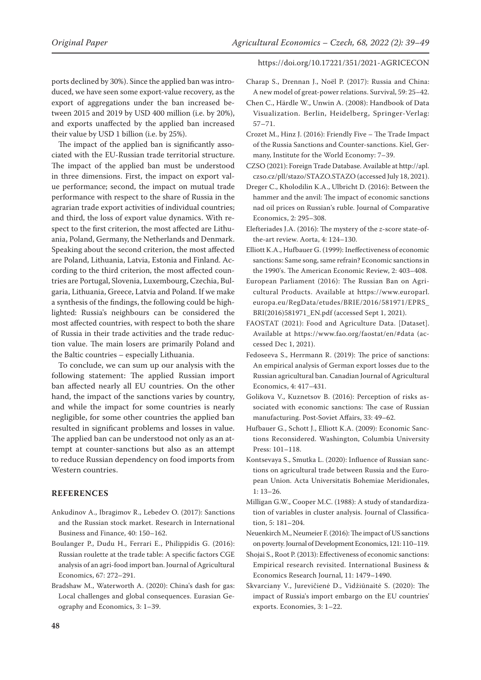ports declined by 30%). Since the applied ban was introduced, we have seen some export-value recovery, as the export of aggregations under the ban increased between 2015 and 2019 by USD 400 million (i.e. by 20%), and exports unaffected by the applied ban increased their value by USD 1 billion (i.e. by 25%).

The impact of the applied ban is significantly associated with the EU-Russian trade territorial structure. The impact of the applied ban must be understood in three dimensions. First, the impact on export value performance; second, the impact on mutual trade performance with respect to the share of Russia in the agrarian trade export activities of individual countries; and third, the loss of export value dynamics. With respect to the first criterion, the most affected are Lithuania, Poland, Germany, the Netherlands and Denmark. Speaking about the second criterion, the most affected are Poland, Lithuania, Latvia, Estonia and Finland. According to the third criterion, the most affected countries are Portugal, Slovenia, Luxembourg, Czechia, Bulgaria, Lithuania, Greece, Latvia and Poland. If we make a synthesis of the findings, the following could be highlighted: Russia's neighbours can be considered the most affected countries, with respect to both the share of Russia in their trade activities and the trade reduction value. The main losers are primarily Poland and the Baltic countries – especially Lithuania.

To conclude, we can sum up our analysis with the following statement: The applied Russian import ban affected nearly all EU countries. On the other hand, the impact of the sanctions varies by country, and while the impact for some countries is nearly negligible, for some other countries the applied ban resulted in significant problems and losses in value. The applied ban can be understood not only as an attempt at counter-sanctions but also as an attempt to reduce Russian dependency on food imports from Western countries.

# **REFERENCES**

- Ankudinov A., Ibragimov R., Lebedev O. (2017): Sanctions and the Russian stock market. Research in International Business and Finance, 40: 150–162.
- Boulanger P., Dudu H., Ferrari E., Philippidis G. (2016): Russian roulette at the trade table: A specific factors CGE analysis of an agri-food import ban. Journal of Agricultural Economics, 67: 272–291.
- Bradshaw M., Waterworth A. (2020): China's dash for gas: Local challenges and global consequences. Eurasian Geography and Economics, 3: 1–39.

#### https://doi.org/10.17221/351/2021-AGRICECON

- Charap S., Drennan J., Noël P. (2017): Russia and China: A new model of great-power relations. Survival, 59: 25–42.
- Chen C., Härdle W., Unwin A. (2008): Handbook of Data Visualization. Berlin, Heidelberg, Springer-Verlag: 57–71.
- Crozet M., Hinz J. (2016): Friendly Five The Trade Impact of the Russia Sanctions and Counter-sanctions. Kiel, Germany, Institute for the World Economy: 7–39.
- CZSO (2021): Foreign Trade Database. Available at http://apl. czso.cz/pll/stazo/STAZO.STAZO (accessed July 18, 2021).
- Dreger C., Kholodilin K.A., Ulbricht D. (2016): Between the hammer and the anvil: The impact of economic sanctions nad oil prices on Russian's ruble. Journal of Comparative Economics, 2: 295–308.
- Elefteriades J.A. (2016): The mystery of the *z*-score state-ofthe-art review. Aorta, 4: 124–130.
- Elliott K.A., Hufbauer G. (1999): Ineffectiveness of economic sanctions: Same song, same refrain? Economic sanctions in the 1990's. The American Economic Review, 2: 403–408.
- European Parliament (2016): The Russian Ban on Agricultural Products. Available at https://www.europarl. europa.eu/RegData/etudes/BRIE/2016/581971/EPRS\_ BRI(2016)581971\_EN.pdf (accessed Sept 1, 2021).
- FAOSTAT (2021): Food and Agriculture Data. [Dataset]. Available at https://www.fao.org/faostat/en/#data (accessed Dec 1, 2021).
- Fedoseeva S., Herrmann R. (2019): The price of sanctions: An empirical analysis of German export losses due to the Russian agricultural ban. Canadian Journal of Agricultural Economics, 4: 417–431.
- Golikova V., Kuznetsov B. (2016): Perception of risks associated with economic sanctions: The case of Russian manufacturing. Post-Soviet Affairs, 33: 49–62.
- Hufbauer G., Schott J., Elliott K.A. (2009): Economic Sanctions Reconsidered. Washington, Columbia University Press: 101–118.
- Kontsevaya S., Smutka L. (2020): Influence of Russian sanctions on agricultural trade between Russia and the European Union. Acta Universitatis Bohemiae Meridionales, 1: 13–26.
- Milligan G.W., Cooper M.C. (1988): A study of standardization of variables in cluster analysis. Journal of Classification, 5: 181–204.
- Neuenkirch M., Neumeier F. (2016): The impact of US sanctions on poverty. Journal of Development Economics, 121: 110–119.
- Shojai S., Root P. (2013): Effectiveness of economic sanctions: Empirical research revisited. International Business & Economics Research Journal, 11: 1479–1490.
- Skvarciany V., Jurevičienė D., Vidžiūnaitė S. (2020): The impact of Russia's import embargo on the EU countries' exports. Economies, 3: 1–22.